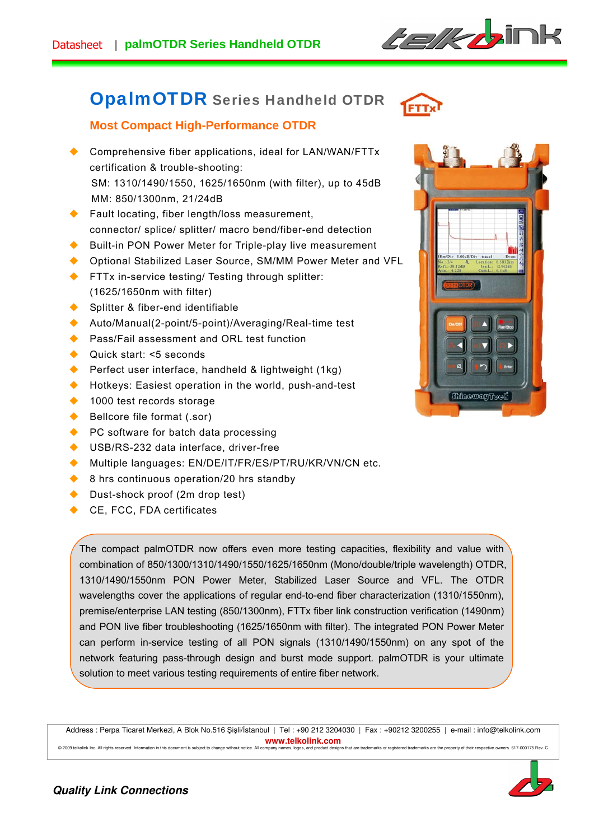

# OpalmOTDR Series Handheld OTDR



# **Most Compact High-Performance OTDR**

- ◆ Comprehensive fiber applications, ideal for LAN/WAN/FTTx certification & trouble-shooting: SM: 1310/1490/1550, 1625/1650nm (with filter), up to 45dB MM: 850/1300nm, 21/24dB
- ◆ Fault locating, fiber length/loss measurement, connector/ splice/ splitter/ macro bend/fiber-end detection
- Built-in PON Power Meter for Triple-play live measurement
- ◆ Optional Stabilized Laser Source, SM/MM Power Meter and VFL
- **FTTx in-service testing/ Testing through splitter:** (1625/1650nm with filter)
- ◆ Splitter & fiber-end identifiable
- ◆ Auto/Manual(2-point/5-point)/Averaging/Real-time test
- Pass/Fail assessment and ORL test function
- ◆ Quick start: <5 seconds
- Perfect user interface, handheld & lightweight (1kg)
- ◆ Hotkeys: Easiest operation in the world, push-and-test
- ◆ 1000 test records storage
- ◆ Bellcore file format (.sor)
- ◆ PC software for batch data processing
- ◆ USB/RS-232 data interface, driver-free
- Multiple languages: EN/DE/IT/FR/ES/PT/RU/KR/VN/CN etc.
- ♦ 8 hrs continuous operation/20 hrs standby
- ◆ Dust-shock proof (2m drop test)
- ◆ CE, FCC, FDA certificates

The compact palmOTDR now offers even more testing capacities, flexibility and value with combination of 850/1300/1310/1490/1550/1625/1650nm (Mono/double/triple wavelength) OTDR, 1310/1490/1550nm PON Power Meter, Stabilized Laser Source and VFL. The OTDR wavelengths cover the applications of regular end-to-end fiber characterization (1310/1550nm), premise/enterprise LAN testing (850/1300nm), FTTx fiber link construction verification (1490nm) and PON live fiber troubleshooting (1625/1650nm with filter). The integrated PON Power Meter can perform in-service testing of all PON signals (1310/1490/1550nm) on any spot of the network featuring pass-through design and burst mode support. palmOTDR is your ultimate solution to meet various testing requirements of entire fiber network.

Address : Perpa Ticaret Merkezi, A Blok No.516 Şişli/İstanbul | Tel : +90 212 3204030 | Fax : +90212 3200255 | e-mail : info@telkolink.com **www.telkolink.com**  e events.<br>© 2009 telkolink Inc. All rights reserved. Information in this document is subject to change without notice. All company r





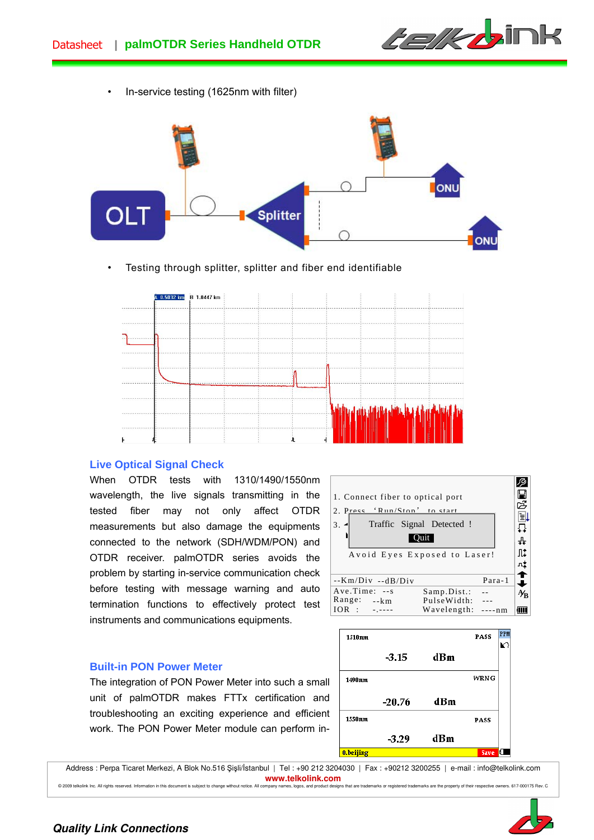

• In-service testing (1625nm with filter)



Testing through splitter, splitter and fiber end identifiable



## **Live Optical Signal Check**

When OTDR tests with 1310/1490/1550nm wavelength, the live signals transmitting in the tested fiber may not only affect OTDR measurements but also damage the equipments connected to the network (SDH/WDM/PON) and OTDR receiver. palmOTDR series avoids the problem by starting in-service communication check before testing with message warning and auto termination functions to effectively protect test instruments and communications equipments.



#### **Built-in PON Power Meter**

The integration of PON Power Meter into such a small unit of palmOTDR makes FTTx certification and troubleshooting an exciting experience and efficient work. The PON Power Meter module can perform in-



Address : Perpa Ticaret Merkezi, A Blok No.516 Şişli/İstanbul | Tel : +90 212 3204030 | Fax : +90212 3200255 | e-mail : info@telkolink.com **www.telkolink.com**<br> **propany pames** logos, and product designs that are tr



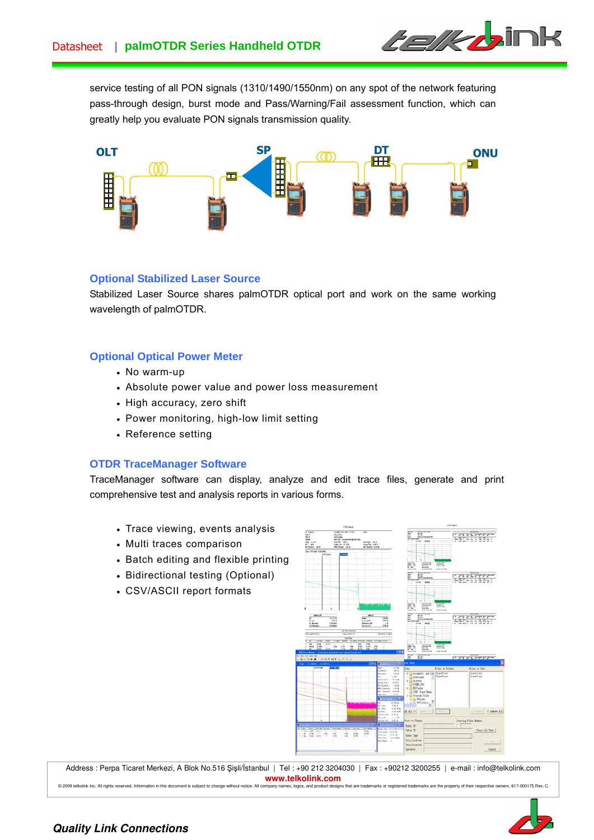

service testing of all PON signals (1310/1490/1550nm) on any spot of the network featuring pass-through design, burst mode and Pass/Warning/Fail assessment function, which can greatly help you evaluate PON signals transmission quality.



## **Optional Stabilized Laser Source**

Stabilized Laser Source shares palmOTDR optical port and work on the same working wavelength of palmOTDR.

## **Optional Optical Power Meter**

- No warm-up
- Absolute power value and power loss measurement
- High accuracy, zero shift
- Power monitoring, high-low limit setting
- Reference setting

## **OTDR TraceManager Software**

TraceManager software can display, analyze and edit trace files, generate and print comprehensive test and analysis reports in various forms.

- Trace viewing, events analysis
- Multi traces comparison
- Batch editing and flexible printing
- Bidirectional testing (Optional)
- CSV/ASCII report formats



Address : Perpa Ticaret Merkezi, A Blok No.516 Şişli/İstanbul | Tel : +90 212 3204030 | Fax : +90212 3200255 | e-mail : info@telkolink.com **www.telkolink.com**<br> **ompany names**, logos, and product designs that are to

© 2009 telkolink Inc. All rights reserved. Information in this document is subject to change without notice. All company names, logos, and product designs that are trademarks or registered trademarks are the property of th



## **Quality Link Connections**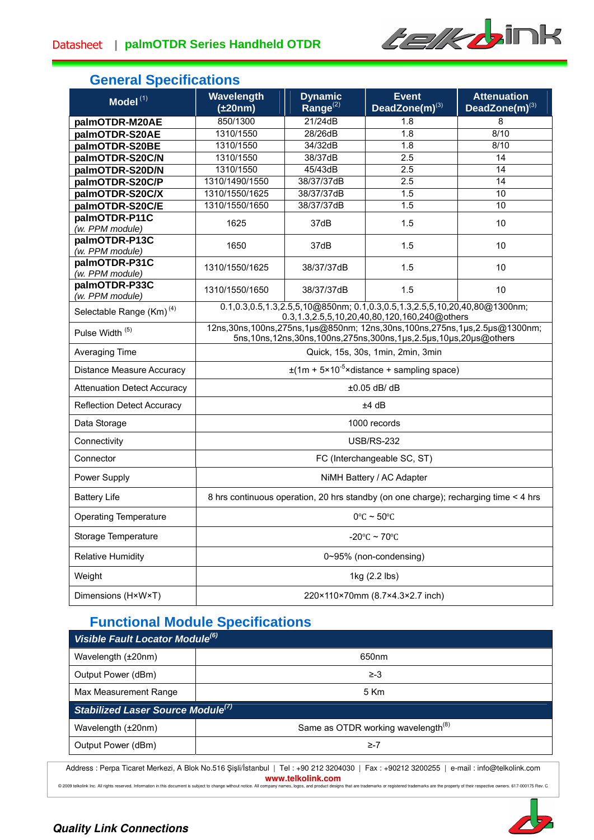

# **General Specifications**

| Model $(1)$                          | Wavelength<br>$(\pm 20nm)$                                                                                                                                     | <b>Dynamic</b><br>Range $^{(2)}$ | <b>Event</b><br>DeadZone $(m)^{(3)}$ | <b>Attenuation</b><br>DeadZone(m)(3) |  |
|--------------------------------------|----------------------------------------------------------------------------------------------------------------------------------------------------------------|----------------------------------|--------------------------------------|--------------------------------------|--|
| palmOTDR-M20AE                       | 850/1300                                                                                                                                                       | 21/24dB                          | 1.8                                  | 8                                    |  |
| palmOTDR-S20AE                       | 1310/1550                                                                                                                                                      | 28/26dB                          | 1.8                                  | 8/10                                 |  |
| palmOTDR-S20BE                       | 1310/1550                                                                                                                                                      | 34/32dB                          | 1.8                                  | 8/10                                 |  |
| palmOTDR-S20C/N                      | 1310/1550                                                                                                                                                      | 38/37dB                          | 2.5                                  | 14                                   |  |
| palmOTDR-S20D/N                      | 1310/1550                                                                                                                                                      | 45/43dB                          | 2.5                                  | 14                                   |  |
| palmOTDR-S20C/P                      | 1310/1490/1550                                                                                                                                                 | 38/37/37dB                       | 2.5                                  | 14                                   |  |
| palmOTDR-S20C/X                      | 1310/1550/1625                                                                                                                                                 | 38/37/37dB                       | 1.5                                  | 10                                   |  |
| palmOTDR-S20C/E                      | 1310/1550/1650                                                                                                                                                 | 38/37/37dB                       | 1.5                                  | 10                                   |  |
| palmOTDR-P11C<br>(w. PPM module)     | 1625                                                                                                                                                           | 37dB                             | 1.5                                  | 10                                   |  |
| palmOTDR-P13C<br>(w. PPM module)     | 1650                                                                                                                                                           | 37dB                             | 1.5                                  | 10                                   |  |
| palmOTDR-P31C<br>(w. PPM module)     | 1310/1550/1625                                                                                                                                                 | 38/37/37dB                       | 1.5                                  | 10                                   |  |
| palmOTDR-P33C<br>(w. PPM module)     | 1310/1550/1650                                                                                                                                                 | 38/37/37dB                       | 1.5                                  | 10                                   |  |
| Selectable Range (Km) <sup>(4)</sup> | 0.1,0.3,0.5,1.3,2.5,5,10@850nm; 0.1,0.3,0.5,1.3,2.5,5,10,20,40,80@1300nm;<br>0.3, 1.3, 2.5, 5, 10, 20, 40, 80, 120, 160, 240@ others                           |                                  |                                      |                                      |  |
| Pulse Width <sup>(5)</sup>           | 12ns, 30ns, 100ns, 275ns, 1µs@850nm; 12ns, 30ns, 100ns, 275ns, 1µs, 2.5µs@1300nm;<br>5ns, 10ns, 12ns, 30ns, 100ns, 275ns, 300ns, 1µs, 2.5µs, 10µs, 20µs@others |                                  |                                      |                                      |  |
| Averaging Time                       | Quick, 15s, 30s, 1min, 2min, 3min                                                                                                                              |                                  |                                      |                                      |  |
| <b>Distance Measure Accuracy</b>     | $\pm$ (1m + 5×10 <sup>-5</sup> ×distance + sampling space)                                                                                                     |                                  |                                      |                                      |  |
| <b>Attenuation Detect Accuracy</b>   | ±0.05 dB/ dB                                                                                                                                                   |                                  |                                      |                                      |  |
| <b>Reflection Detect Accuracy</b>    | ±4 dB                                                                                                                                                          |                                  |                                      |                                      |  |
| Data Storage                         | 1000 records                                                                                                                                                   |                                  |                                      |                                      |  |
| Connectivity                         | <b>USB/RS-232</b>                                                                                                                                              |                                  |                                      |                                      |  |
| Connector                            | FC (Interchangeable SC, ST)                                                                                                                                    |                                  |                                      |                                      |  |
| Power Supply                         | NiMH Battery / AC Adapter                                                                                                                                      |                                  |                                      |                                      |  |
| <b>Battery Life</b>                  | 8 hrs continuous operation, 20 hrs standby (on one charge); recharging time < 4 hrs                                                                            |                                  |                                      |                                      |  |
| <b>Operating Temperature</b>         | $0^{\circ}$ C ~ 50 $^{\circ}$ C                                                                                                                                |                                  |                                      |                                      |  |
| Storage Temperature                  | $-20^{\circ}$ C ~ 70 $^{\circ}$ C                                                                                                                              |                                  |                                      |                                      |  |
| <b>Relative Humidity</b>             | 0~95% (non-condensing)                                                                                                                                         |                                  |                                      |                                      |  |
| Weight                               | 1kg (2.2 lbs)                                                                                                                                                  |                                  |                                      |                                      |  |
| Dimensions (H×W×T)                   | 220×110×70mm (8.7×4.3×2.7 inch)                                                                                                                                |                                  |                                      |                                      |  |

# **Functional Module Specifications**

| Visible Fault Locator Module <sup>(6)</sup> |                                                |  |  |  |
|---------------------------------------------|------------------------------------------------|--|--|--|
| Wavelength (±20nm)                          | 650nm                                          |  |  |  |
| Output Power (dBm)                          | ≥-3                                            |  |  |  |
| Max Measurement Range                       | 5 Km                                           |  |  |  |
| Stabilized Laser Source Module $^{(7)}$     |                                                |  |  |  |
| Wavelength (±20nm)                          | Same as OTDR working wavelength <sup>(8)</sup> |  |  |  |
| Output Power (dBm)                          | ≥-7                                            |  |  |  |

Address : Perpa Ticaret Merkezi, A Blok No.516 Şişli/İstanbul | Tel : +90 212 3204030 | Fax : +90212 3200255 | e-mail : info@telkolink.com **www.telkolink.com**<br>© 2009 telkolink Inc. All rights reserved. Information in this document is subject to change without notice. All company names, logos, and product designs

os, and product designs that are trademarks or registered trademarks are the property of their respective owners. 617-000175 Rev. C